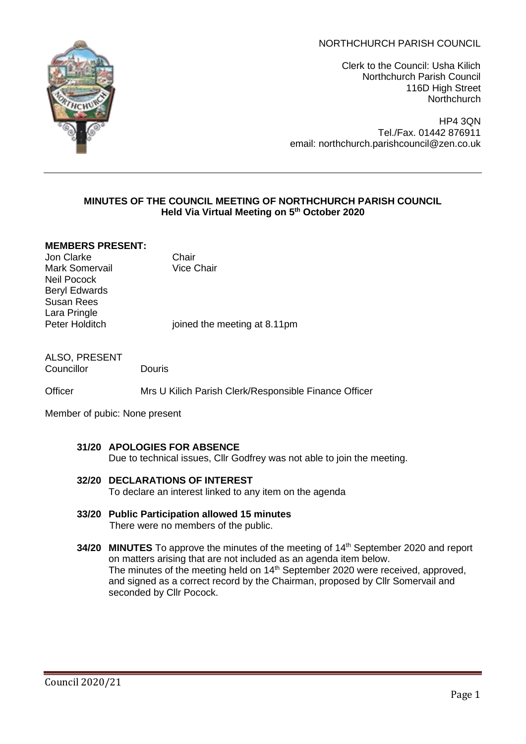# NORTHCHURCH PARISH COUNCIL



Clerk to the Council: Usha Kilich Northchurch Parish Council 116D High Street **Northchurch** 

HP4 3QN Tel./Fax. 01442 876911 email: northchurch.parishcouncil@zen.co.uk

## **MINUTES OF THE COUNCIL MEETING OF NORTHCHURCH PARISH COUNCIL Held Via Virtual Meeting on 5 th October 2020**

#### **MEMBERS PRESENT:**

**Jon Clarke** Chair<br>
Mark Somervail **Chair**<br>
Vice Chair Mark Somervail Neil Pocock Beryl Edwards Susan Rees Lara Pringle<br>Peter Holditch

ioined the meeting at 8.11pm

ALSO, PRESENT Councillor Douris

Officer Mrs U Kilich Parish Clerk/Responsible Finance Officer

Member of pubic: None present

- **31/20 APOLOGIES FOR ABSENCE** Due to technical issues, Cllr Godfrey was not able to join the meeting.
- **32/20 DECLARATIONS OF INTEREST**  To declare an interest linked to any item on the agenda
- **33/20 Public Participation allowed 15 minutes** There were no members of the public.
- **34/20 MINUTES** To approve the minutes of the meeting of 14<sup>th</sup> September 2020 and report on matters arising that are not included as an agenda item below. The minutes of the meeting held on 14<sup>th</sup> September 2020 were received, approved, and signed as a correct record by the Chairman, proposed by Cllr Somervail and seconded by Cllr Pocock.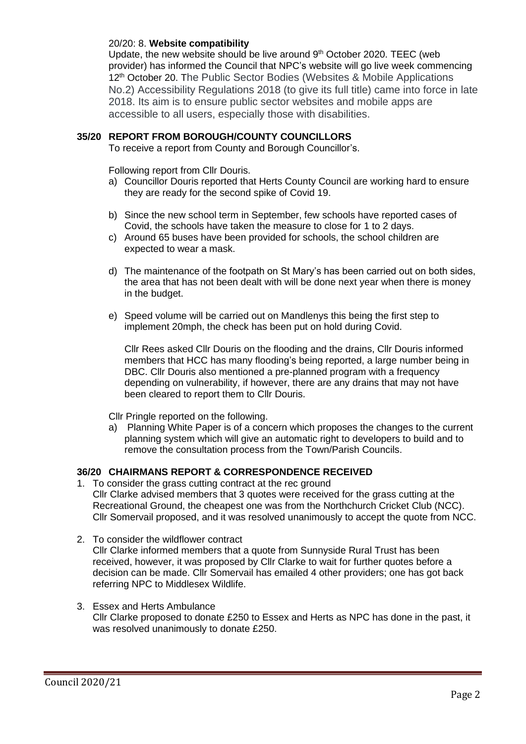### 20/20: 8. **Website compatibility**

Update, the new website should be live around  $9<sup>th</sup>$  October 2020. TEEC (web provider) has informed the Council that NPC's website will go live week commencing 12<sup>th</sup> October 20. The Public Sector Bodies (Websites & Mobile Applications No.2) Accessibility Regulations 2018 (to give its full title) came into force in late 2018. Its aim is to ensure public sector websites and mobile apps are accessible to all users, especially those with disabilities.

## **35/20 REPORT FROM BOROUGH/COUNTY COUNCILLORS**

To receive a report from County and Borough Councillor's.

Following report from Cllr Douris.

- a) Councillor Douris reported that Herts County Council are working hard to ensure they are ready for the second spike of Covid 19.
- b) Since the new school term in September, few schools have reported cases of Covid, the schools have taken the measure to close for 1 to 2 days.
- c) Around 65 buses have been provided for schools, the school children are expected to wear a mask.
- d) The maintenance of the footpath on St Mary's has been carried out on both sides, the area that has not been dealt with will be done next year when there is money in the budget.
- e) Speed volume will be carried out on Mandlenys this being the first step to implement 20mph, the check has been put on hold during Covid.

Cllr Rees asked Cllr Douris on the flooding and the drains, Cllr Douris informed members that HCC has many flooding's being reported, a large number being in DBC. Cllr Douris also mentioned a pre-planned program with a frequency depending on vulnerability, if however, there are any drains that may not have been cleared to report them to Cllr Douris.

Cllr Pringle reported on the following.

a) Planning White Paper is of a concern which proposes the changes to the current planning system which will give an automatic right to developers to build and to remove the consultation process from the Town/Parish Councils.

### **36/20 CHAIRMANS REPORT & CORRESPONDENCE RECEIVED**

- 1. To consider the grass cutting contract at the rec ground Cllr Clarke advised members that 3 quotes were received for the grass cutting at the Recreational Ground, the cheapest one was from the Northchurch Cricket Club (NCC). Cllr Somervail proposed, and it was resolved unanimously to accept the quote from NCC.
- 2. To consider the wildflower contract Cllr Clarke informed members that a quote from Sunnyside Rural Trust has been received, however, it was proposed by Cllr Clarke to wait for further quotes before a decision can be made. Cllr Somervail has emailed 4 other providers; one has got back referring NPC to Middlesex Wildlife.
- 3. Essex and Herts Ambulance Cllr Clarke proposed to donate £250 to Essex and Herts as NPC has done in the past, it was resolved unanimously to donate £250.